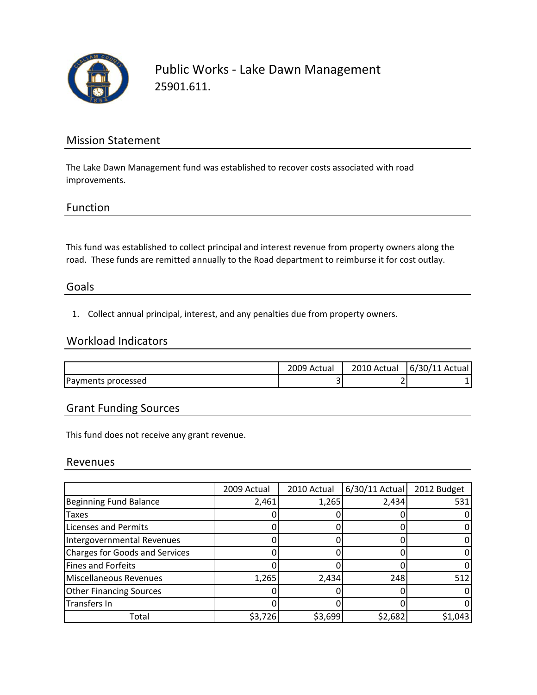

Public Works ‐ Lake Dawn Management 25901.611.

## Mission Statement

The Lake Dawn Management fund was established to recover costs associated with road improvements.

### Function

This fund was established to collect principal and interest revenue from property owners along the road. These funds are remitted annually to the Road department to reimburse it for cost outlay.

#### Goals

1. Collect annual principal, interest, and any penalties due from property owners.

## Workload Indicators

|                    | 009 Actual | 2010<br>Actual » | 6/30/11 Actual |
|--------------------|------------|------------------|----------------|
| Payments processed | -<br>ັ     |                  |                |

## Grant Funding Sources

This fund does not receive any grant revenue.

#### Revenues

|                                       | 2009 Actual | 2010 Actual | $6/30/11$ Actual | 2012 Budget |
|---------------------------------------|-------------|-------------|------------------|-------------|
| <b>Beginning Fund Balance</b>         | 2,461       | 1,265       | 2,434            | 531         |
| Taxes                                 |             |             |                  |             |
| Licenses and Permits                  |             |             |                  |             |
| Intergovernmental Revenues            |             |             |                  |             |
| <b>Charges for Goods and Services</b> |             |             |                  |             |
| Fines and Forfeits                    |             |             |                  |             |
| Miscellaneous Revenues                | 1,265       | 2,434       | 248              | 512         |
| <b>Other Financing Sources</b>        |             |             |                  |             |
| <b>Transfers In</b>                   |             |             |                  |             |
| Total                                 | \$3,726     | \$3,699     | \$2,682          | \$1,043     |